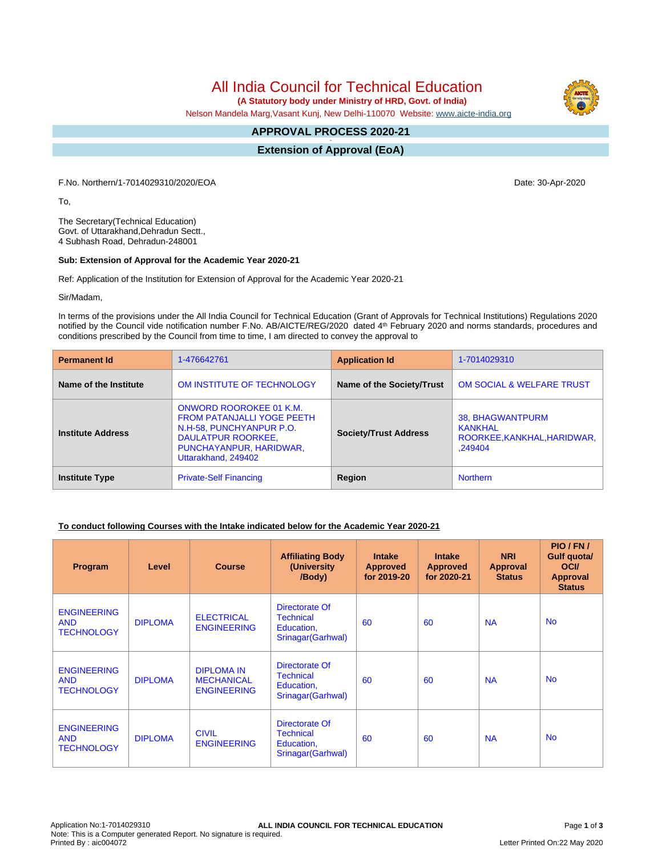All India Council for Technical Education

 **(A Statutory body under Ministry of HRD, Govt. of India)**

Nelson Mandela Marg,Vasant Kunj, New Delhi-110070 Website: [www.aicte-india.org](http://www.aicte-india.org)

## **APPROVAL PROCESS 2020-21**

**- Extension of Approval (EoA)**

F.No. Northern/1-7014029310/2020/EOA Date: 30-Apr-2020

To,

The Secretary(Technical Education) Govt. of Uttarakhand,Dehradun Sectt., 4 Subhash Road, Dehradun-248001

#### **Sub: Extension of Approval for the Academic Year 2020-21**

Ref: Application of the Institution for Extension of Approval for the Academic Year 2020-21

Sir/Madam,

In terms of the provisions under the All India Council for Technical Education (Grant of Approvals for Technical Institutions) Regulations 2020 notified by the Council vide notification number F.No. AB/AICTE/REG/2020 dated 4<sup>th</sup> February 2020 and norms standards, procedures and conditions prescribed by the Council from time to time, I am directed to convey the approval to

| <b>Permanent Id</b>      | 1-476642761                                                                                                                                                      | <b>Application Id</b>        | 1-7014029310                                                          |  |
|--------------------------|------------------------------------------------------------------------------------------------------------------------------------------------------------------|------------------------------|-----------------------------------------------------------------------|--|
| Name of the Institute    | OM INSTITUTE OF TECHNOLOGY                                                                                                                                       | Name of the Society/Trust    | <b>OM SOCIAL &amp; WELFARE TRUST</b>                                  |  |
| <b>Institute Address</b> | ONWORD ROOROKEE 01 K.M.<br><b>FROM PATANJALLI YOGE PEETH</b><br>N.H-58, PUNCHYANPUR P.O.<br>DAULATPUR ROORKEE,<br>PUNCHAYANPUR, HARIDWAR,<br>Uttarakhand, 249402 | <b>Society/Trust Address</b> | 38, BHAGWANTPURM<br>KANKHAL<br>ROORKEE, KANKHAL, HARIDWAR,<br>.249404 |  |
| <b>Institute Type</b>    | <b>Private-Self Financing</b>                                                                                                                                    | Region                       | <b>Northern</b>                                                       |  |

### **To conduct following Courses with the Intake indicated below for the Academic Year 2020-21**

| Program                                               | Level          | <b>Course</b>                                                | <b>Affiliating Body</b><br>(University<br>/Body)                       | <b>Intake</b><br><b>Approved</b><br>for 2019-20 | <b>Intake</b><br><b>Approved</b><br>for 2020-21 | <b>NRI</b><br>Approval<br><b>Status</b> | PIO/FN/<br><b>Gulf quotal</b><br><b>OCI</b><br><b>Approval</b><br><b>Status</b> |
|-------------------------------------------------------|----------------|--------------------------------------------------------------|------------------------------------------------------------------------|-------------------------------------------------|-------------------------------------------------|-----------------------------------------|---------------------------------------------------------------------------------|
| <b>ENGINEERING</b><br><b>AND</b><br><b>TECHNOLOGY</b> | <b>DIPLOMA</b> | <b>ELECTRICAL</b><br><b>ENGINEERING</b>                      | Directorate Of<br><b>Technical</b><br>Education,<br>Srinagar (Garhwal) | 60                                              | 60                                              | <b>NA</b>                               | <b>No</b>                                                                       |
| <b>ENGINEERING</b><br><b>AND</b><br><b>TECHNOLOGY</b> | <b>DIPLOMA</b> | <b>DIPLOMA IN</b><br><b>MECHANICAL</b><br><b>ENGINEERING</b> | Directorate Of<br><b>Technical</b><br>Education,<br>Srinagar (Garhwal) | 60                                              | 60                                              | <b>NA</b>                               | <b>No</b>                                                                       |
| <b>ENGINEERING</b><br><b>AND</b><br><b>TECHNOLOGY</b> | <b>DIPLOMA</b> | <b>CIVIL</b><br><b>ENGINEERING</b>                           | Directorate Of<br><b>Technical</b><br>Education,<br>Srinagar (Garhwal) | 60                                              | 60                                              | <b>NA</b>                               | <b>No</b>                                                                       |

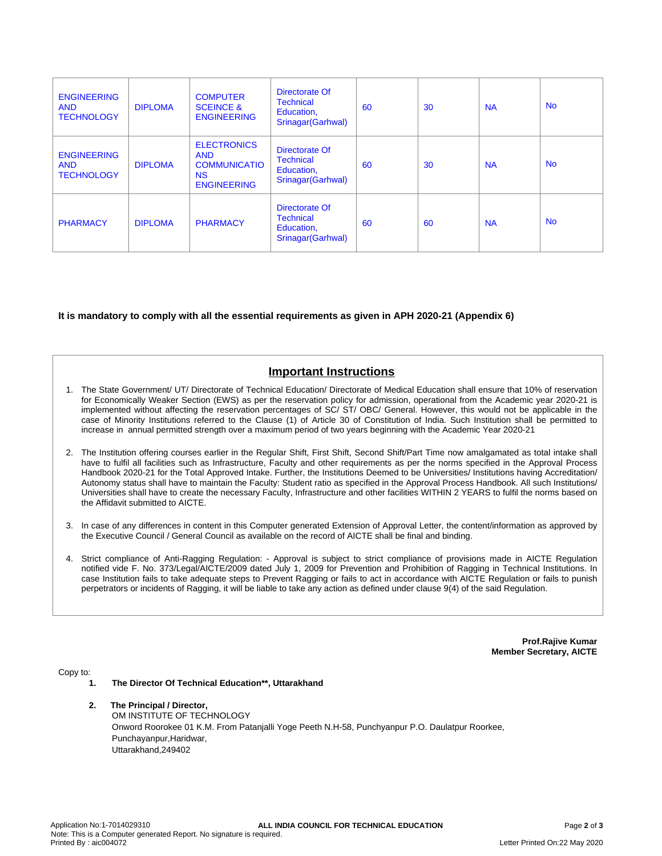| <b>ENGINEERING</b><br><b>AND</b><br><b>TECHNOLOGY</b> | <b>DIPLOMA</b> | <b>COMPUTER</b><br><b>SCEINCE &amp;</b><br><b>ENGINEERING</b>                              | Directorate Of<br><b>Technical</b><br>Education,<br>Srinagar (Garhwal) | 60 | 30 | <b>NA</b> | <b>No</b> |
|-------------------------------------------------------|----------------|--------------------------------------------------------------------------------------------|------------------------------------------------------------------------|----|----|-----------|-----------|
| <b>ENGINEERING</b><br><b>AND</b><br><b>TECHNOLOGY</b> | <b>DIPLOMA</b> | <b>ELECTRONICS</b><br><b>AND</b><br><b>COMMUNICATIO</b><br><b>NS</b><br><b>ENGINEERING</b> | Directorate Of<br><b>Technical</b><br>Education,<br>Srinagar(Garhwal)  | 60 | 30 | <b>NA</b> | <b>No</b> |
| <b>PHARMACY</b>                                       | <b>DIPLOMA</b> | <b>PHARMACY</b>                                                                            | Directorate Of<br><b>Technical</b><br>Education,<br>Srinagar (Garhwal) | 60 | 60 | <b>NA</b> | <b>No</b> |

### **It is mandatory to comply with all the essential requirements as given in APH 2020-21 (Appendix 6)**

# **Important Instructions**

- 1. The State Government/ UT/ Directorate of Technical Education/ Directorate of Medical Education shall ensure that 10% of reservation for Economically Weaker Section (EWS) as per the reservation policy for admission, operational from the Academic year 2020-21 is implemented without affecting the reservation percentages of SC/ ST/ OBC/ General. However, this would not be applicable in the case of Minority Institutions referred to the Clause (1) of Article 30 of Constitution of India. Such Institution shall be permitted to increase in annual permitted strength over a maximum period of two years beginning with the Academic Year 2020-21
- 2. The Institution offering courses earlier in the Regular Shift, First Shift, Second Shift/Part Time now amalgamated as total intake shall have to fulfil all facilities such as Infrastructure, Faculty and other requirements as per the norms specified in the Approval Process Handbook 2020-21 for the Total Approved Intake. Further, the Institutions Deemed to be Universities/ Institutions having Accreditation/ Autonomy status shall have to maintain the Faculty: Student ratio as specified in the Approval Process Handbook. All such Institutions/ Universities shall have to create the necessary Faculty, Infrastructure and other facilities WITHIN 2 YEARS to fulfil the norms based on the Affidavit submitted to AICTE.
- 3. In case of any differences in content in this Computer generated Extension of Approval Letter, the content/information as approved by the Executive Council / General Council as available on the record of AICTE shall be final and binding.
- 4. Strict compliance of Anti-Ragging Regulation: Approval is subject to strict compliance of provisions made in AICTE Regulation notified vide F. No. 373/Legal/AICTE/2009 dated July 1, 2009 for Prevention and Prohibition of Ragging in Technical Institutions. In case Institution fails to take adequate steps to Prevent Ragging or fails to act in accordance with AICTE Regulation or fails to punish perpetrators or incidents of Ragging, it will be liable to take any action as defined under clause 9(4) of the said Regulation.

**Prof.Rajive Kumar Member Secretary, AICTE**

Copy to:

- **1. The Director Of Technical Education\*\*, Uttarakhand**
- **2. The Principal / Director,** OM INSTITUTE OF TECHNOLOGY Onword Roorokee 01 K.M. From Patanjalli Yoge Peeth N.H-58, Punchyanpur P.O. Daulatpur Roorkee, Punchayanpur,Haridwar, Uttarakhand,249402